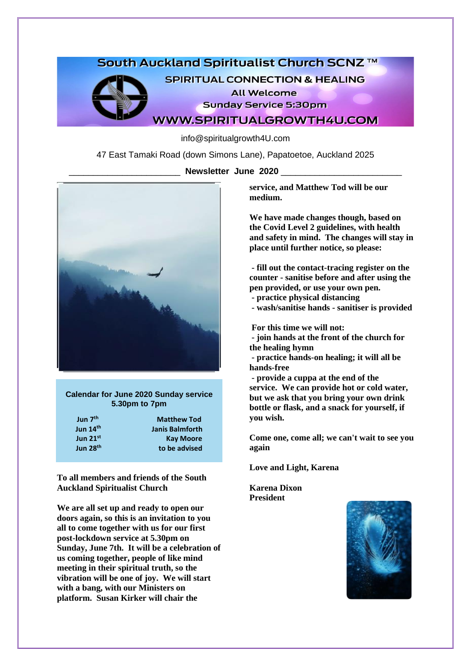## South Auckland Spiritualist Church SCNZ ™

**SPIRITUAL CONNECTION & HEALING** 

**All Welcome** 

**Sunday Service 5:30pm** 

**WWW.SPIRITUALGROWTH4U.COM** 

info@spiritualgrowth4U.com

47 East Tamaki Road (down Simons Lane), Papatoetoe, Auckland 2025

\_\_\_\_\_\_\_\_\_\_\_\_\_\_\_\_\_\_\_\_\_\_\_ **Newsletter June 2020** \_\_\_\_\_\_\_\_\_\_\_\_\_\_\_\_\_\_\_\_\_\_\_\_\_



**Calendar for June 2020 Sunday service 5.30pm to 7pm**

**Jun 7th Jun 14th Jun 21st Jun 28th** 

 **Matthew Tod Janis Balmforth Kay Moore to be advised**

**To all members and friends of the South Auckland Spiritualist Church**

**We are all set up and ready to open our doors again, so this is an invitation to you all to come together with us for our first post-lockdown service at 5.30pm on Sunday, June 7th. It will be a celebration of us coming together, people of like mind meeting in their spiritual truth, so the vibration will be one of joy. We will start with a bang, with our Ministers on platform. Susan Kirker will chair the** 

**service, and Matthew Tod will be our medium.**

**We have made changes though, based on the Covid Level 2 guidelines, with health and safety in mind. The changes will stay in place until further notice, so please:**

**- fill out the contact-tracing register on the counter - sanitise before and after using the pen provided, or use your own pen.**

**- practice physical distancing**

**- wash/sanitise hands - sanitiser is provided**

**For this time we will not:**

**- join hands at the front of the church for the healing hymn**

**- practice hands-on healing; it will all be hands-free**

**- provide a cuppa at the end of the service. We can provide hot or cold water, but we ask that you bring your own drink bottle or flask, and a snack for yourself, if you wish.**

**Come one, come all; we can't wait to see you again**

**Love and Light, Karena**

**Karena Dixon President**

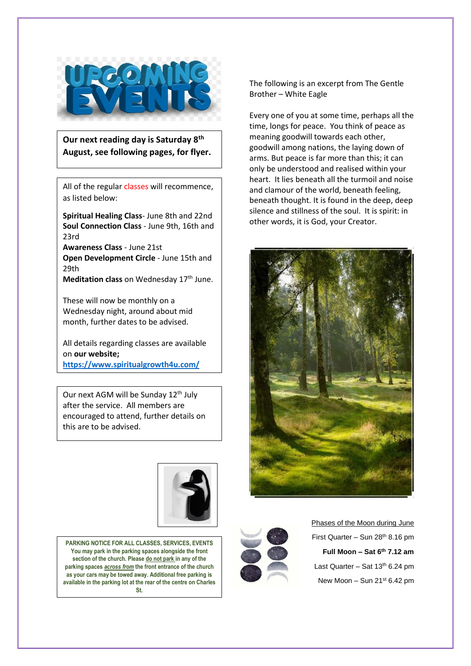

**Our next reading day is Saturday 8th August, see following pages, for flyer.**

All of the regular classes will recommence, as listed below:

**Spiritual Healing Class**- June 8th and 22nd **Soul Connection Class** - June 9th, 16th and 23rd

**Awareness Class** - June 21st **Open Development Circle** - June 15th and 29th

**Meditation class** on Wednesday 17<sup>th</sup> June.

These will now be monthly on a Wednesday night, around about mid month, further dates to be advised.

All details regarding classes are available on **our website; <https://www.spiritualgrowth4u.com/>**

Our next AGM will be Sunday 12<sup>th</sup> July after the service. All members are encouraged to attend, further details on this are to be advised.



**PARKING NOTICE FOR ALL CLASSES, SERVICES, EVENTS You may park in the parking spaces alongside the front section of the church. Please do not park in any of the parking spaces** *across from* **the front entrance of the church as your cars may be towed away. Additional free parking is available in the parking lot at the rear of the centre on Charles St.**

The following is an excerpt from The Gentle Brother – White Eagle

Every one of you at some time, perhaps all the time, longs for peace. You think of peace as meaning goodwill towards each other, goodwill among nations, the laying down of arms. But peace is far more than this; it can only be understood and realised within your heart. It lies beneath all the turmoil and noise and clamour of the world, beneath feeling, beneath thought. It is found in the deep, deep silence and stillness of the soul. It is spirit: in other words, it is God, your Creator.





Phases of the Moon during June First Quarter – Sun  $28<sup>th</sup> 8.16$  pm **Full Moon – Sat 6th 7.12 am** Last Quarter – Sat  $13<sup>th</sup> 6.24$  pm New Moon – Sun  $21<sup>st</sup> 6.42$  pm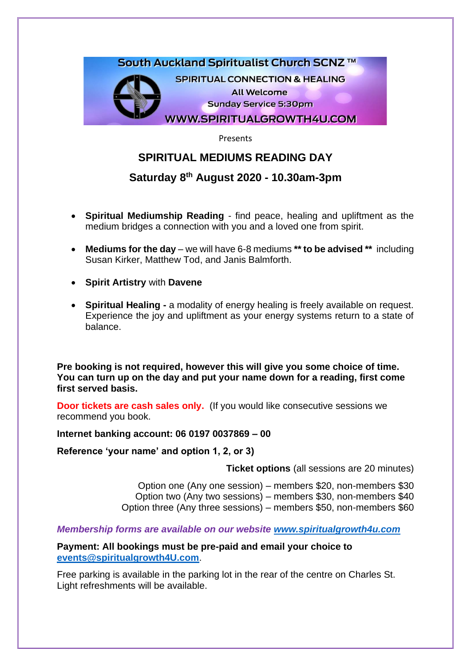

Presents

# **SPIRITUAL MEDIUMS READING DAY**

# **Saturday 8 th August 2020 - 10.30am-3pm**

- **Spiritual Mediumship Reading** find peace, healing and upliftment as the medium bridges a connection with you and a loved one from spirit.
- **Mediums for the day** we will have 6-8 mediums **\*\* to be advised \*\*** including Susan Kirker, Matthew Tod, and Janis Balmforth.
- **Spirit Artistry** with **Davene**
- **Spiritual Healing -** a modality of energy healing is freely available on request. Experience the joy and upliftment as your energy systems return to a state of balance.

**Pre booking is not required, however this will give you some choice of time. You can turn up on the day and put your name down for a reading, first come first served basis.** 

**Door tickets are cash sales only.** (If you would like consecutive sessions we recommend you book.

## **Internet banking account: 06 0197 0037869 – 00**

**Reference 'your name' and option 1, 2, or 3)**

**Ticket options** (all sessions are 20 minutes)

Option one (Any one session) – members \$20, non-members \$30 Option two (Any two sessions) – members \$30, non-members \$40 Option three (Any three sessions) – members \$50, non-members \$60

*Membership forms are available on our website [www.spiritualgrowth4u.com](http://www.spiritualgrowth4u.com/)*

**Payment: All bookings must be pre-paid and email your choice to [events@spiritualgrowth4U.com](mailto:events@spiritualgrowth4U.com)**.

Free parking is available in the parking lot in the rear of the centre on Charles St. Light refreshments will be available.